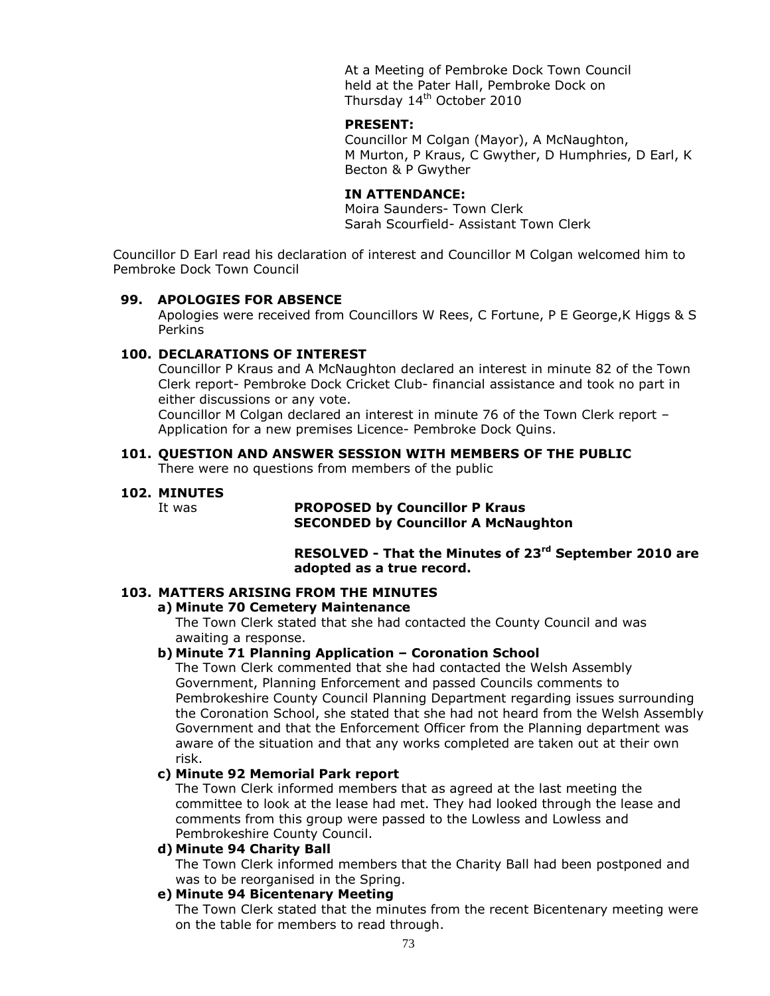At a Meeting of Pembroke Dock Town Council held at the Pater Hall, Pembroke Dock on Thursday 14<sup>th</sup> October 2010

#### **PRESENT:**

Councillor M Colgan (Mayor), A McNaughton, M Murton, P Kraus, C Gwyther, D Humphries, D Earl, K Becton & P Gwyther

### **IN ATTENDANCE:**

Moira Saunders- Town Clerk Sarah Scourfield- Assistant Town Clerk

Councillor D Earl read his declaration of interest and Councillor M Colgan welcomed him to Pembroke Dock Town Council

#### **99. APOLOGIES FOR ABSENCE**

Apologies were received from Councillors W Rees, C Fortune, P E George,K Higgs & S Perkins

#### **100. DECLARATIONS OF INTEREST**

Councillor P Kraus and A McNaughton declared an interest in minute 82 of the Town Clerk report- Pembroke Dock Cricket Club- financial assistance and took no part in either discussions or any vote.

Councillor M Colgan declared an interest in minute 76 of the Town Clerk report – Application for a new premises Licence- Pembroke Dock Quins.

#### **101. QUESTION AND ANSWER SESSION WITH MEMBERS OF THE PUBLIC**

There were no questions from members of the public

## **102. MINUTES**

#### It was **PROPOSED by Councillor P Kraus SECONDED by Councillor A McNaughton**

**RESOLVED - That the Minutes of 23rd September 2010 are adopted as a true record.**

## **103. MATTERS ARISING FROM THE MINUTES**

#### **a) Minute 70 Cemetery Maintenance**

The Town Clerk stated that she had contacted the County Council and was awaiting a response.

## **b) Minute 71 Planning Application – Coronation School**

The Town Clerk commented that she had contacted the Welsh Assembly Government, Planning Enforcement and passed Councils comments to Pembrokeshire County Council Planning Department regarding issues surrounding the Coronation School, she stated that she had not heard from the Welsh Assembly Government and that the Enforcement Officer from the Planning department was aware of the situation and that any works completed are taken out at their own risk.

#### **c) Minute 92 Memorial Park report**

The Town Clerk informed members that as agreed at the last meeting the committee to look at the lease had met. They had looked through the lease and comments from this group were passed to the Lowless and Lowless and Pembrokeshire County Council.

#### **d) Minute 94 Charity Ball**

The Town Clerk informed members that the Charity Ball had been postponed and was to be reorganised in the Spring.

#### **e) Minute 94 Bicentenary Meeting**

The Town Clerk stated that the minutes from the recent Bicentenary meeting were on the table for members to read through.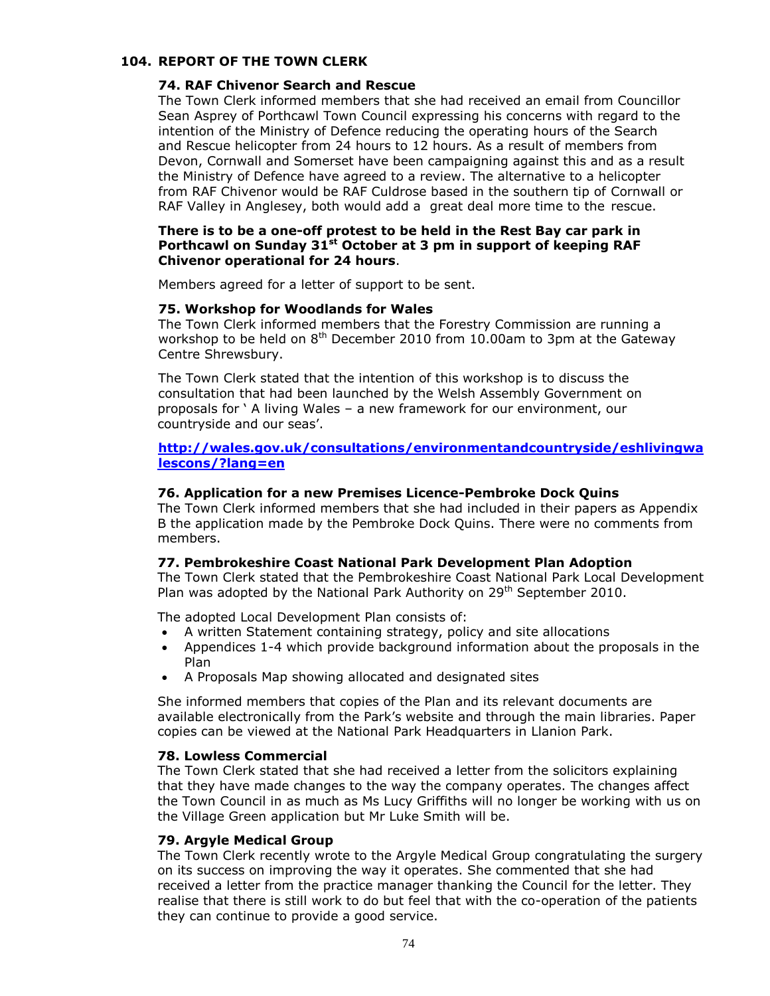#### **104. REPORT OF THE TOWN CLERK**

#### **74. RAF Chivenor Search and Rescue**

The Town Clerk informed members that she had received an email from Councillor Sean Asprey of Porthcawl Town Council expressing his concerns with regard to the intention of the Ministry of Defence reducing the operating hours of the Search and Rescue helicopter from 24 hours to 12 hours. As a result of members from Devon, Cornwall and Somerset have been campaigning against this and as a result the Ministry of Defence have agreed to a review. The alternative to a helicopter from RAF Chivenor would be RAF Culdrose based in the southern tip of Cornwall or RAF Valley in Anglesey, both would add a great deal more time to the rescue.

### **There is to be a one-off protest to be held in the Rest Bay car park in Porthcawl on Sunday 31st October at 3 pm in support of keeping RAF Chivenor operational for 24 hours**.

Members agreed for a letter of support to be sent.

#### **75. Workshop for Woodlands for Wales**

The Town Clerk informed members that the Forestry Commission are running a workshop to be held on  $8<sup>th</sup>$  December 2010 from 10.00am to 3pm at the Gateway Centre Shrewsbury.

The Town Clerk stated that the intention of this workshop is to discuss the consultation that had been launched by the Welsh Assembly Government on proposals for ' A living Wales – a new framework for our environment, our countryside and our seas'.

### **[http://wales.gov.uk/consultations/environmentandcountryside/eshlivingwa](http://wales.gov.uk/consultations/environmentandcountryside/eshlivingwalescons/?lang=en) [lescons/?lang=en](http://wales.gov.uk/consultations/environmentandcountryside/eshlivingwalescons/?lang=en)**

#### **76. Application for a new Premises Licence-Pembroke Dock Quins**

The Town Clerk informed members that she had included in their papers as Appendix B the application made by the Pembroke Dock Quins. There were no comments from members.

#### **77. Pembrokeshire Coast National Park Development Plan Adoption**

The Town Clerk stated that the Pembrokeshire Coast National Park Local Development Plan was adopted by the National Park Authority on 29<sup>th</sup> September 2010.

The adopted Local Development Plan consists of:

- A written Statement containing strategy, policy and site allocations
- Appendices 1-4 which provide background information about the proposals in the Plan
- A Proposals Map showing allocated and designated sites

She informed members that copies of the Plan and its relevant documents are available electronically from the Park's website and through the main libraries. Paper copies can be viewed at the National Park Headquarters in Llanion Park.

### **78. Lowless Commercial**

The Town Clerk stated that she had received a letter from the solicitors explaining that they have made changes to the way the company operates. The changes affect the Town Council in as much as Ms Lucy Griffiths will no longer be working with us on the Village Green application but Mr Luke Smith will be.

#### **79. Argyle Medical Group**

The Town Clerk recently wrote to the Argyle Medical Group congratulating the surgery on its success on improving the way it operates. She commented that she had received a letter from the practice manager thanking the Council for the letter. They realise that there is still work to do but feel that with the co-operation of the patients they can continue to provide a good service.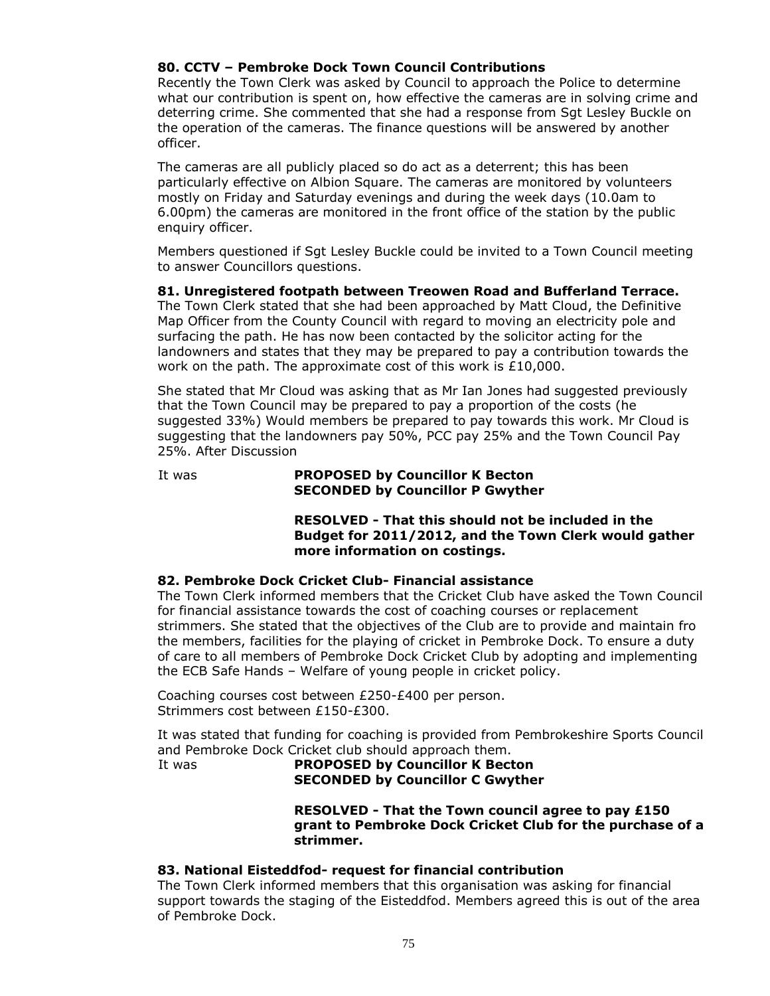## **80. CCTV – Pembroke Dock Town Council Contributions**

Recently the Town Clerk was asked by Council to approach the Police to determine what our contribution is spent on, how effective the cameras are in solving crime and deterring crime. She commented that she had a response from Sgt Lesley Buckle on the operation of the cameras. The finance questions will be answered by another officer.

The cameras are all publicly placed so do act as a deterrent; this has been particularly effective on Albion Square. The cameras are monitored by volunteers mostly on Friday and Saturday evenings and during the week days (10.0am to 6.00pm) the cameras are monitored in the front office of the station by the public enquiry officer.

Members questioned if Sgt Lesley Buckle could be invited to a Town Council meeting to answer Councillors questions.

## **81. Unregistered footpath between Treowen Road and Bufferland Terrace.**

The Town Clerk stated that she had been approached by Matt Cloud, the Definitive Map Officer from the County Council with regard to moving an electricity pole and surfacing the path. He has now been contacted by the solicitor acting for the landowners and states that they may be prepared to pay a contribution towards the work on the path. The approximate cost of this work is £10,000.

She stated that Mr Cloud was asking that as Mr Ian Jones had suggested previously that the Town Council may be prepared to pay a proportion of the costs (he suggested 33%) Would members be prepared to pay towards this work. Mr Cloud is suggesting that the landowners pay 50%, PCC pay 25% and the Town Council Pay 25%. After Discussion

#### It was **PROPOSED by Councillor K Becton SECONDED by Councillor P Gwyther**

**RESOLVED - That this should not be included in the Budget for 2011/2012, and the Town Clerk would gather more information on costings.**

### **82. Pembroke Dock Cricket Club- Financial assistance**

The Town Clerk informed members that the Cricket Club have asked the Town Council for financial assistance towards the cost of coaching courses or replacement strimmers. She stated that the objectives of the Club are to provide and maintain fro the members, facilities for the playing of cricket in Pembroke Dock. To ensure a duty of care to all members of Pembroke Dock Cricket Club by adopting and implementing the ECB Safe Hands – Welfare of young people in cricket policy.

Coaching courses cost between £250-£400 per person. Strimmers cost between £150-£300.

It was stated that funding for coaching is provided from Pembrokeshire Sports Council and Pembroke Dock Cricket club should approach them.

#### It was **PROPOSED by Councillor K Becton SECONDED by Councillor C Gwyther**

**RESOLVED - That the Town council agree to pay £150 grant to Pembroke Dock Cricket Club for the purchase of a strimmer.**

#### **83. National Eisteddfod- request for financial contribution**

The Town Clerk informed members that this organisation was asking for financial support towards the staging of the Eisteddfod. Members agreed this is out of the area of Pembroke Dock.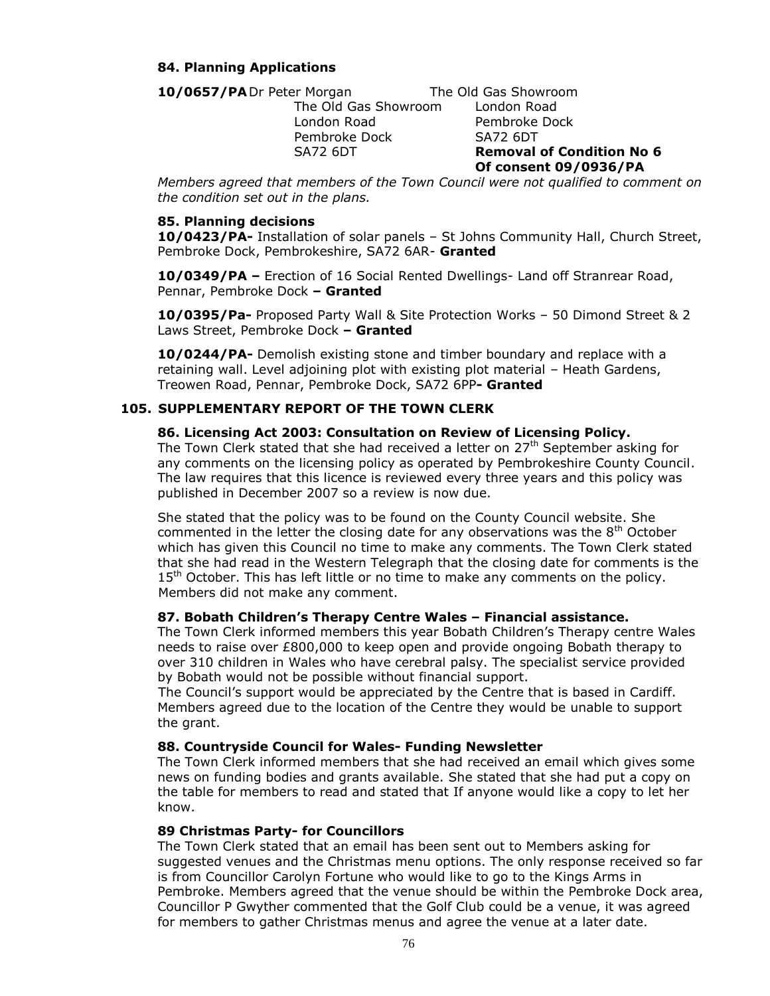## **84. Planning Applications**

10/0657/PADr Peter Morgan The Old Gas Showroom

The Old Gas Showroom London Road London Road Pembroke Dock Pembroke Dock SA72 6DT

SA72 6DT **Removal of Condition No 6 Of consent 09/0936/PA**

*Members agreed that members of the Town Council were not qualified to comment on the condition set out in the plans.*

### **85. Planning decisions**

**10/0423/PA-** Installation of solar panels – St Johns Community Hall, Church Street, Pembroke Dock, Pembrokeshire, SA72 6AR- **Granted**

**10/0349/PA –** Erection of 16 Social Rented Dwellings- Land off Stranrear Road, Pennar, Pembroke Dock **– Granted**

**10/0395/Pa-** Proposed Party Wall & Site Protection Works – 50 Dimond Street & 2 Laws Street, Pembroke Dock **– Granted**

**10/0244/PA-** Demolish existing stone and timber boundary and replace with a retaining wall. Level adjoining plot with existing plot material – Heath Gardens, Treowen Road, Pennar, Pembroke Dock, SA72 6PP**- Granted**

## **105. SUPPLEMENTARY REPORT OF THE TOWN CLERK**

#### **86. Licensing Act 2003: Consultation on Review of Licensing Policy.**

The Town Clerk stated that she had received a letter on  $27<sup>th</sup>$  September asking for any comments on the licensing policy as operated by Pembrokeshire County Council. The law requires that this licence is reviewed every three years and this policy was published in December 2007 so a review is now due.

She stated that the policy was to be found on the County Council website. She commented in the letter the closing date for any observations was the 8<sup>th</sup> October which has given this Council no time to make any comments. The Town Clerk stated that she had read in the Western Telegraph that the closing date for comments is the  $15<sup>th</sup>$  October. This has left little or no time to make any comments on the policy. Members did not make any comment.

### **87. Bobath Children's Therapy Centre Wales – Financial assistance.**

The Town Clerk informed members this year Bobath Children's Therapy centre Wales needs to raise over £800,000 to keep open and provide ongoing Bobath therapy to over 310 children in Wales who have cerebral palsy. The specialist service provided by Bobath would not be possible without financial support.

The Council's support would be appreciated by the Centre that is based in Cardiff. Members agreed due to the location of the Centre they would be unable to support the grant.

### **88. Countryside Council for Wales- Funding Newsletter**

The Town Clerk informed members that she had received an email which gives some news on funding bodies and grants available. She stated that she had put a copy on the table for members to read and stated that If anyone would like a copy to let her know.

#### **89 Christmas Party- for Councillors**

The Town Clerk stated that an email has been sent out to Members asking for suggested venues and the Christmas menu options. The only response received so far is from Councillor Carolyn Fortune who would like to go to the Kings Arms in Pembroke. Members agreed that the venue should be within the Pembroke Dock area, Councillor P Gwyther commented that the Golf Club could be a venue, it was agreed for members to gather Christmas menus and agree the venue at a later date.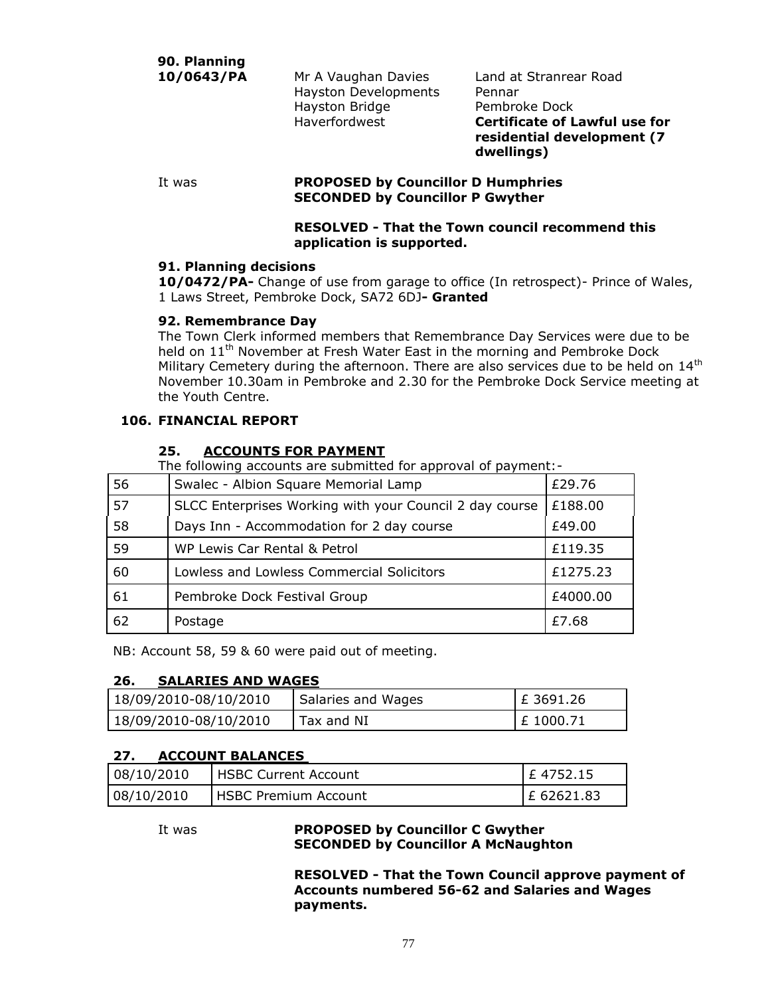**90. Planning**

Hayston Developments Pennar Hayston Bridge **Pembroke Dock** 

10/0643/PA Mr A Vaughan Davies Land at Stranrear Road Haverfordwest **Certificate of Lawful use for residential development (7 dwellings)**

#### It was **PROPOSED by Councillor D Humphries SECONDED by Councillor P Gwyther**

### **RESOLVED - That the Town council recommend this application is supported.**

## **91. Planning decisions**

**10/0472/PA-** Change of use from garage to office (In retrospect)- Prince of Wales, 1 Laws Street, Pembroke Dock, SA72 6DJ**- Granted**

## **92. Remembrance Day**

The Town Clerk informed members that Remembrance Day Services were due to be held on 11<sup>th</sup> November at Fresh Water East in the morning and Pembroke Dock Military Cemetery during the afternoon. There are also services due to be held on  $14<sup>th</sup>$ November 10.30am in Pembroke and 2.30 for the Pembroke Dock Service meeting at the Youth Centre.

## **106. FINANCIAL REPORT**

## **25. ACCOUNTS FOR PAYMENT**

The following accounts are submitted for approval of payment:-

| 56 | Swalec - Albion Square Memorial Lamp                    | £29.76   |
|----|---------------------------------------------------------|----------|
| 57 | SLCC Enterprises Working with your Council 2 day course | £188.00  |
| 58 | Days Inn - Accommodation for 2 day course               | £49.00   |
| 59 | WP Lewis Car Rental & Petrol                            | £119.35  |
| 60 | Lowless and Lowless Commercial Solicitors               | £1275.23 |
| 61 | Pembroke Dock Festival Group                            | £4000.00 |
| 62 | Postage                                                 | £7.68    |

NB: Account 58, 59 & 60 were paid out of meeting.

## **26. SALARIES AND WAGES**

| 18/09/2010-08/10/2010 | Salaries and Wages | $E$ 3691.26 |
|-----------------------|--------------------|-------------|
| 18/09/2010-08/10/2010 | Tax and NI         | £1000.71    |

## **27. ACCOUNT BALANCES**

| 08/10/2010 | <b>I HSBC Current Account</b> | $E$ 4752.15  |
|------------|-------------------------------|--------------|
| 08/10/2010 | <b>I HSBC Premium Account</b> | $E$ 62621.83 |

It was **PROPOSED by Councillor C Gwyther SECONDED by Councillor A McNaughton**

> **RESOLVED - That the Town Council approve payment of Accounts numbered 56-62 and Salaries and Wages payments.**